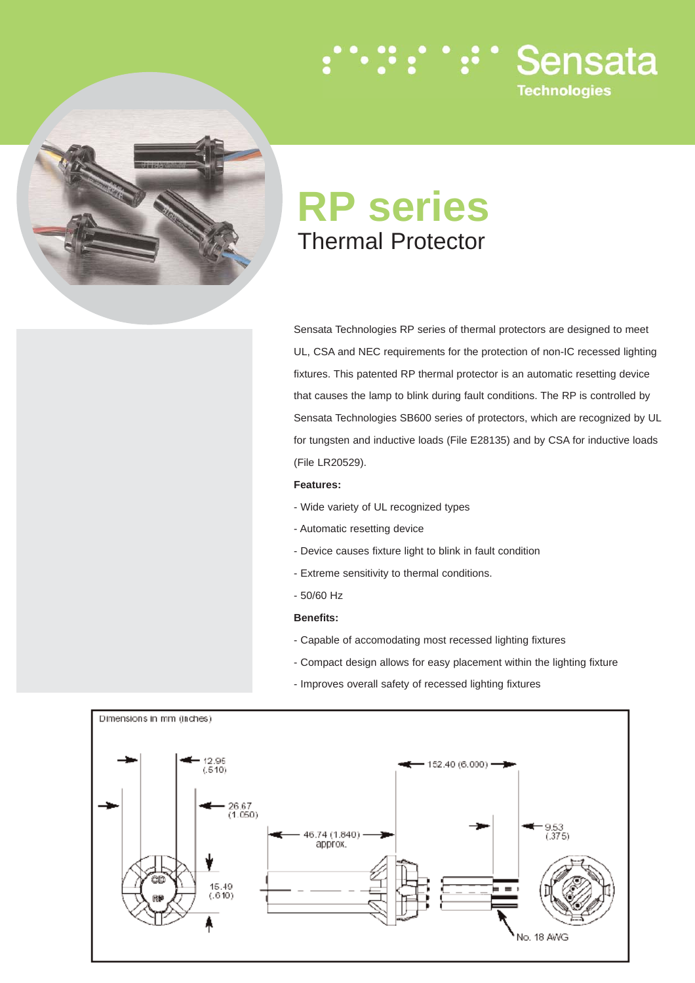

# **RP series** Thermal Protector

Sensata Technologies RP series of thermal protectors are designed to meet UL, CSA and NEC requirements for the protection of non-IC recessed lighting fixtures. This patented RP thermal protector is an automatic resetting device that causes the lamp to blink during fault conditions. The RP is controlled by Sensata Technologies SB600 series of protectors, which are recognized by UL for tungsten and inductive loads (File E28135) and by CSA for inductive loads (File LR20529).

:∵:∵:∵ Sensata

**Technologies** 

## **Features:**

- Wide variety of UL recognized types
- Automatic resetting device
- Device causes fixture light to blink in fault condition
- Extreme sensitivity to thermal conditions.
- 50/60 Hz

## **Benefits:**

- Capable of accomodating most recessed lighting fixtures
- Compact design allows for easy placement within the lighting fixture
- Improves overall safety of recessed lighting fixtures

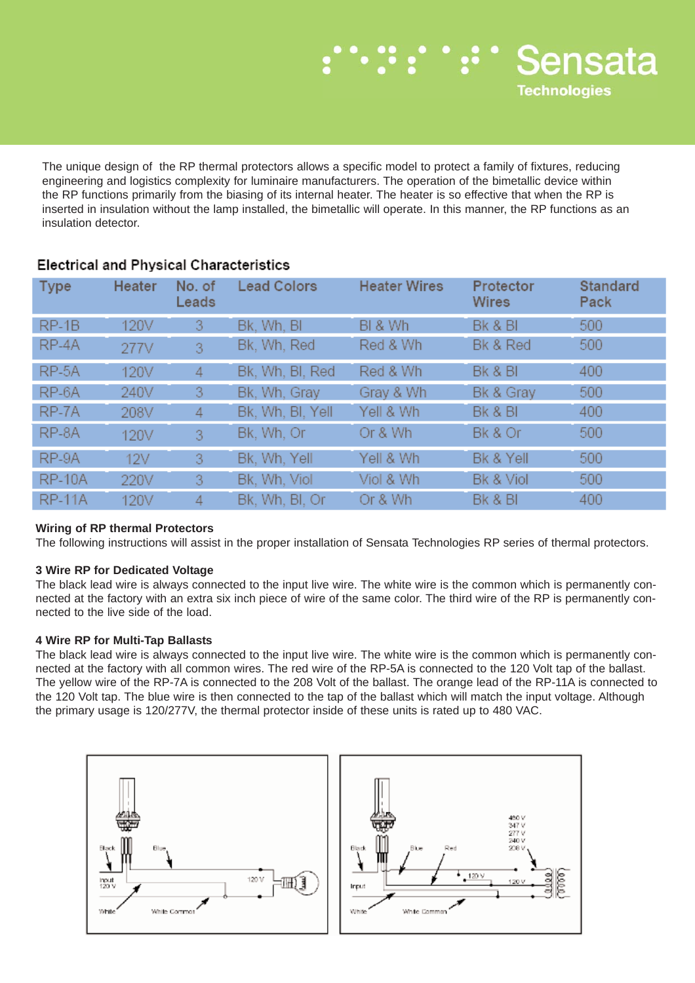

The unique design of the RP thermal protectors allows a specific model to protect a family of fixtures, reducing engineering and logistics complexity for luminaire manufacturers. The operation of the bimetallic device within the RP functions primarily from the biasing of its internal heater. The heater is so effective that when the RP is inserted in insulation without the lamp installed, the bimetallic will operate. In this manner, the RP functions as an insulation detector.

| <b>Type</b>   | <b>Heater</b> | No. of<br>Leads | <b>Lead Colors</b> | <b>Heater Wires</b> | Protector<br>Wires | <b>Standard</b><br>Pack |
|---------------|---------------|-----------------|--------------------|---------------------|--------------------|-------------------------|
| $RP-1B$       | 120V          | 3               | Bk, Wh, BI         | BI & Wh             | Bk & BI            | 500                     |
| RP-4A         | 277V          | 3               | Bk, Wh, Red        | Red & Wh            | Bk & Red           | 500                     |
| RP-5A         | 120V          | 4               | Bk, Wh, Bl, Red    | Red & Wh            | Bk & BI            | 400                     |
| RP-6A         | 240V          | 3               | Bk, Wh, Gray       | Gray & Wh           | Bk & Gray          | 500                     |
| RP-7A         | 208V          | 4               | Bk, Wh, Bl, Yell   | Yell & Wh           | Bk & BI            | 400                     |
| RP-8A         | 120V          | 3               | Bk, Wh, Or         | Or & Wh             | Bk & Or            | 500                     |
| RP-9A         | 12V           | 3               | Bk, Wh, Yell       | Yell & Wh           | Bk & Yell          | 500                     |
| <b>RP-10A</b> | 220V          | 3               | Bk, Wh, Viol       | Viol & Wh           | Bk & Viol          | 500                     |
| <b>RP-11A</b> | 120V          | 4               | Bk, Wh, Bl, Or.    | Or & Wh             | Bk & BI            | 400                     |

## **Electrical and Physical Characteristics**

## **Wiring of RP thermal Protectors**

The following instructions will assist in the proper installation of Sensata Technologies RP series of thermal protectors.

## **3 Wire RP for Dedicated Voltage**

The black lead wire is always connected to the input live wire. The white wire is the common which is permanently connected at the factory with an extra six inch piece of wire of the same color. The third wire of the RP is permanently connected to the live side of the load.

## **4 Wire RP for Multi-Tap Ballasts**

The black lead wire is always connected to the input live wire. The white wire is the common which is permanently connected at the factory with all common wires. The red wire of the RP-5A is connected to the 120 Volt tap of the ballast. The yellow wire of the RP-7A is connected to the 208 Volt of the ballast. The orange lead of the RP-11A is connected to the 120 Volt tap. The blue wire is then connected to the tap of the ballast which will match the input voltage. Although the primary usage is 120/277V, the thermal protector inside of these units is rated up to 480 VAC.